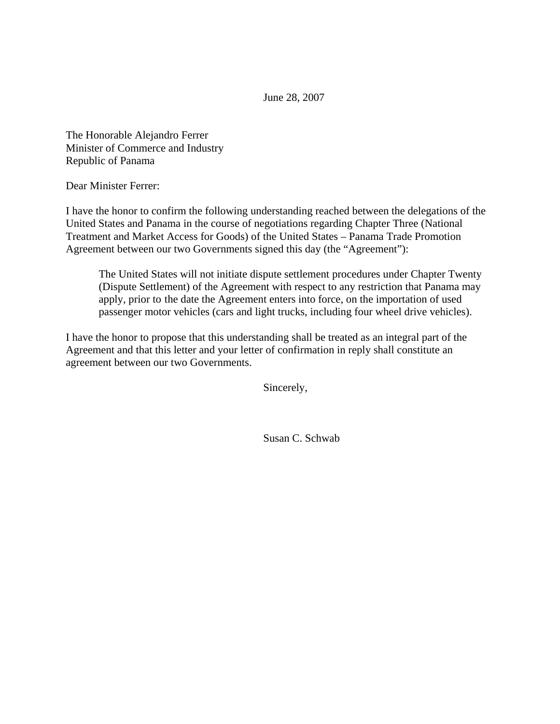June 28, 2007

The Honorable Alejandro Ferrer Minister of Commerce and Industry Republic of Panama

Dear Minister Ferrer:

I have the honor to confirm the following understanding reached between the delegations of the United States and Panama in the course of negotiations regarding Chapter Three (National Treatment and Market Access for Goods) of the United States – Panama Trade Promotion Agreement between our two Governments signed this day (the "Agreement"):

The United States will not initiate dispute settlement procedures under Chapter Twenty (Dispute Settlement) of the Agreement with respect to any restriction that Panama may apply, prior to the date the Agreement enters into force, on the importation of used passenger motor vehicles (cars and light trucks, including four wheel drive vehicles).

I have the honor to propose that this understanding shall be treated as an integral part of the Agreement and that this letter and your letter of confirmation in reply shall constitute an agreement between our two Governments.

Sincerely,

Susan C. Schwab